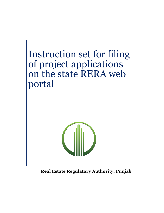# Instruction set for filing of project applications on the state RERA web portal



**Real Estate Regulatory Authority, Punjab**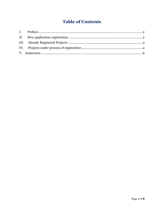# **Table of Contents**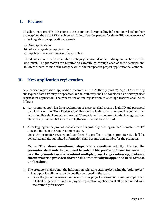#### <span id="page-2-0"></span>**I. Preface**

This document provides directions to the promoters for uploading information related to their project(s) on the state RERA web portal. It describes the process for three different category of project registration applications, namely:

- a) New applications
- b) Already registered applications
- c) Applications under process of registration

The details about each of the above category is covered under subsequent sections of the document. The promoters are required to carefully go through each of these sections and follow the instructions of the category which their respective project application falls under.

### <span id="page-2-1"></span>**II. New application registration**

Any project registration application received in the Authority post 03 April 2018 or any subsequent date that may be specified by the Authority shall be considered as a new project registration application. The process for online registration of such applications shall be as follows:

- 1. Any promoter applying for a registration of a project shall create a login ID and password by clicking on the "New Registration" link on the login screen. An email along with an activation link shall be sent to the email ID mentioned by the promoter during registration. Once, the promoter clicks on the link, the user ID shall be activated.
- 2. After logging in, the promoter shall create his profile by clicking on the "Promoter Profile" link and filling in the required information. Once the promoter reviews and confirms his profile, a unique promoter ID shall be generated and the submitted information shall become non editable for the promoter.

**\*Note: The above mentioned steps are a one-time activity. Hence, the promoter shall only be required to submit his profile information once. In case the promoter needs to submit multiple project registration applications, the information provided above shall automatically be appended in all of these applications.** 

- 3. The promoter shall submit the information related to each project using the "Add project" link and provide all the requisite details mentioned in the form.
	- a. Once the promoter reviews and confirms his project information, a unique application ID shall be generated and the project registration application shall be submitted with the Authority for review.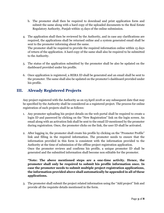- b. The promoter shall then be required to download and print application form and submit the same along with a hard copy of the uploaded documents to the Real Estate Regulatory Authority, Punjab within 15 days of the online submission.
- 4. The application shall then be reviewed by the Authority, and in case any clarifications are required, the applications shall be returned online and a system generated email shall be sent to the promoter informing about the same. The promoter shall be required to provide the required information online within 15 days of return of the application. A hard copy of the same shall also be required to be submitted to the Authority.
- 5. The status of the application submitted by the promoter shall be also be updated on the dashboard provided under his profile.
- 6. Once application is registered, a RERA ID shall be generated and an email shall be sent to the promoter. The same shall also be updated on the promoter's dashboard provided under his profile.

# <span id="page-3-0"></span>**III. Already Registered Projects**

Any project registered with the Authority as on 03April 2018 or any subsequent date that may be specified by the Authority shall be considered as a registered project. The process for online registration of such projects shall be as follows:

- 1. Any promoter uploading his project details on the web portal shall be required to create a login ID and password by clicking on the "New Registration" link on the login screen. An email along with an activation link shall be sent to the email ID mentioned by the promoter during registration. Once, the promoter clicks on the link, the user ID shall be activated.
- 2. After logging in, the promoter shall create his profile by clicking on the "Promoter Profile" link and filling in the required information. The promoter needs to ensure that the information provided in this form is consistent with the information provided to the Authority at the time of submission of the offline project registration application. Once the promoter reviews and confirms his profile, a unique promoter ID shall be generated and the submitted information shall become non editable for the promoter.

**\*Note: The above mentioned steps are a one-time activity. Hence, the promoter shall only be required to submit his profile information once. In case the promoter needs to submit multiple project registration applications, the information provided above shall automatically be appended in all of these applications.** 

3. The promoter shall submit the project related information using the "Add project" link and provide all the requisite details mentioned in the form.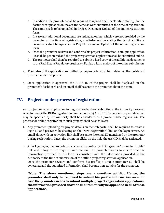- a. In addition, the promoter shall be required to upload a self-declaration stating that the documents uploaded online are the same as were submitted at the time of registration. The same needs to be uploaded in Project Document Upload of the online registration form.
- b. In case any additional documents are uploaded online, which were not provided by the promoter at the time of registration, a self-declaration stating the list of additional documents shall be uploaded in Project Document Upload of the online registration form.
- c. Once the promoter reviews and confirms his project information, a unique application ID shall be generated and the project registration application shall be submitted online.
- d. The promoter shall then be required to submit a hard copy of the additional documents to the Real Estate Regulatory Authority, Punjab within 15 days of the online submission.
- 4. The status of the application submitted by the promoter shall be updated on the dashboard provided under his profile.
- 5. Once application is approved, the RERA ID of the project shall be displayed on the promoter's dashboard and an email shall be sent to the promoter about the same.

# <span id="page-4-0"></span>**IV. Projects under process of registration**

Any project for which application for registration has been submitted at the Authority, however is yet to receive the RERA registration number as on 03April 2018 or any subsequent date that may be specified by the Authority shall be considered as a project under registration. The process for online registration of such projects shall be as follows:

- 1. Any promoter uploading his project details on the web portal shall be required to create a login ID and password by clicking on the "New Registration" link on the login screen. An email along with an activation link shall be sent to the email ID mentioned by the promoter during registration. Once, the promoter clicks on the link, the user ID shall be activated.
- 2. After logging in, the promoter shall create his profile by clicking on the "Promoter Profile" link and filling in the required information. The promoter needs to ensure that the information provided in this form is consistent with the information provided to the Authority at the time of submission of the offline project registration application. Once the promoter reviews and confirms his profile, a unique promoter ID shall be generated and the submitted information shall become non editable for the promoter.

**\*Note: The above mentioned steps are a one-time activity. Hence, the promoter shall only be required to submit his profile information once. In case the promoter needs to submit multiple project registration applications, the information provided above shall automatically be appended in all of these applications.**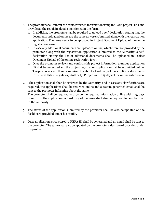- 3. The promoter shall submit the project related information using the "Add project" link and provide all the requisite details mentioned in the form.
	- a. In addition, the promoter shall be required to upload a self-declaration stating that the documents uploaded online are the same as were submitted along with the registration application. The same needs to be uploaded in Project Document Upload of the online registration form.
	- b. In case any additional documents are uploaded online, which were not provided by the promoter along with the registration application submitted to the Authority, a selfdeclaration stating the list of additional documents shall be uploaded in Project Document Upload of the online registration form.
	- c. Once the promoter reviews and confirms his project information, a unique application ID shall be generated and the project registration application shall be submitted online.
	- d. The promoter shall then be required to submit a hard copy of the additional documents to the Real Estate Regulatory Authority, Punjab within 15 days of the online submission.
- 4. The application shall then be reviewed by the Authority, and in case any clarifications are required, the applications shall be returned online and a system generated email shall be sent to the promoter informing about the same.

The promoter shall be required to provide the required information online within 15 days of return of the application. A hard copy of the same shall also be required to be submitted to the Authority.

- 5. The status of the application submitted by the promoter shall be also be updated on the dashboard provided under his profile.
- 6. Once application is registered, a RERA ID shall be generated and an email shall be sent to the promoter. The same shall also be updated on the promoter's dashboard provided under his profile.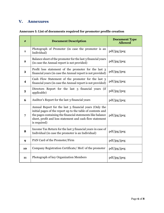# <span id="page-6-0"></span>**V. Annexures**

### **Annexure I: List of documents required for promoter profile creation**

| #                       | <b>Document Description</b>                                                                                                                                                                                                                                     | <b>Document Type</b><br><b>Allowed</b> |
|-------------------------|-----------------------------------------------------------------------------------------------------------------------------------------------------------------------------------------------------------------------------------------------------------------|----------------------------------------|
| $\mathbf{1}$            | Photograph of Promoter (in case the promoter is an<br>Individual)                                                                                                                                                                                               | pdf/jpg/jpeg                           |
| $\mathbf{2}$            | Balance sheet of the promoter for the last 3 financial years<br>(in case the Annual report is not provided)                                                                                                                                                     | pdf/jpg/jpeg                           |
| 3                       | Profit loss statement of the promoter for the last 3<br>financial years (in case the Annual report is not provided)                                                                                                                                             | pdf/jpg/jpeg                           |
| $\overline{\mathbf{4}}$ | Cash Flow Statement of the promoter for the last 3<br>financial years (in case the Annual report is not provided)                                                                                                                                               | pdf/jpg/jpeg                           |
| 5                       | Directors Report for the last 3 financial years (if<br>applicable)                                                                                                                                                                                              | pdf/jpg/jpeg                           |
| 6                       | Auditor's Report for the last 3 financial years                                                                                                                                                                                                                 | pdf/jpg/jpeg                           |
| $\overline{7}$          | Annual Report for the last 3 financial years (Only the<br>initial pages of the report up to the table of contents and<br>the pages containing the financial statements like balance<br>sheet, profit and loss statement and cash flow statement<br>is required) | pdf/jpg/jpeg                           |
| 8                       | Income Tax Return for the last 3 financial years in case of<br>Individual (in case the promoter is an Individual)                                                                                                                                               | pdf/jpg/jpeg                           |
| $\boldsymbol{9}$        | PAN Card of the Promoter/Firm                                                                                                                                                                                                                                   | pdf/jpg/jpeg                           |
| 10                      | Company Registration Certificate/MoU of the promoter                                                                                                                                                                                                            | pdf/jpg/jpeg                           |
| 11                      | Photograph of key Organization Members                                                                                                                                                                                                                          | pdf/jpg/jpeg                           |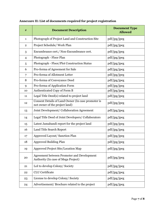| #              | <b>Document Description</b>                                                          | <b>Document Type</b><br><b>Allowed</b> |
|----------------|--------------------------------------------------------------------------------------|----------------------------------------|
| $\mathbf{1}$   | Photograph of Project Land and Construction Site                                     | pdf/jpg/jpeg                           |
| $\overline{2}$ | Project Schedule/ Work Plan                                                          | pdf/jpg/jpeg                           |
| 3              | Encumbrance cert./ Non-Encumbrance cert.                                             | pdf/jpg/jpeg                           |
| $\overline{4}$ | Photograph - Floor Plan                                                              | pdf/jpg/jpeg                           |
| 5              | Photograph - Floor/Plot Construction Status                                          | pdf/jpg/jpeg                           |
| 6              | Pro-forma of Agreement for Sale                                                      | pdf/jpg/jpeg                           |
| 7              | Pro-forma of Allotment Letter                                                        | pdf/jpg/jpeg                           |
| 8              | Pro-forma of Conveyance Deed                                                         | pdf/jpg/jpeg                           |
| 9              | Pro-forma of Application Form                                                        | pdf/jpg/jpeg                           |
| 10             | Authenticated Copy of Form B                                                         | pdf/jpg/jpeg                           |
| 11             | Legal Title Deed(s) related to project land                                          | pdf/jpg/jpeg                           |
| 12             | Consent Details of Land Owner (In case promoter is<br>not owner of the project land) | pdf/jpg/jpeg                           |
| 13             | Joint Development/ Collaboration Agreement                                           | pdf/jpg/jpeg                           |
| 14             | Legal Title Deed of Joint Developers/ Collaborators                                  | pdf/jpg/jpeg                           |
| 15             | Latest Jamabandi report for the project land                                         | pdf/jpg/jpeg                           |
| 16             | Land Title Search Report                                                             | pdf/jpg/jpeg                           |
| 17             | Approved Layout/ Sanction Plan                                                       | pdf/jpg/jpeg                           |
| 18             | <b>Approved Building Plan</b>                                                        | pdf/jpg/jpeg                           |
| 19             | Approved Project Site/Location Map                                                   | pdf/jpg/jpeg                           |
| 20             | Agreement between Promoter and Development<br>Authority (In case of Mega Project)    | pdf/jpg/jpeg                           |
| 21             | LoI to develop Colony/Society                                                        | pdf/jpg/jpeg                           |
| 22             | <b>CLU</b> Certificate                                                               | pdf/jpg/jpeg                           |
| 23             | License to develop Colony/ Society                                                   | pdf/jpg/jpeg                           |
| 24             | Advertisement/Brochure related to the project                                        | pdf/jpg/jpeg                           |

### **Annexure II: List of documents required for project registration**